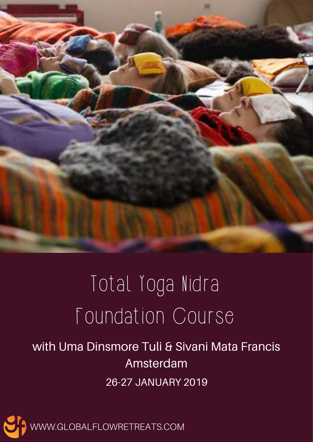

# Total Yoga Nidra Foundation Course

## with Uma Dinsmore Tuli & Sivani Mata Francis Amsterdam 26-27 JANUARY 2019

WWW.GLOBALFLOWRETREATS.COM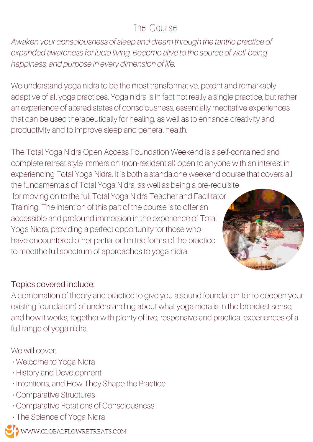## The Course

Awaken your consciousness of sleep and dream through the tantric practice of expanded awareness for lucid living. Become alive to the source of well-being, happiness, and purpose in every dimension of life.

We understand yoga nidra to be the most transformative, potent and remarkably adaptive of all yoga practices. Yoga nidra is in fact not really a single practice, but rather an experience of altered states of consciousness, essentially meditative experiences that can be used therapeutically for healing, as well as to enhance creativity and productivity and to improve sleep and general health.

The Total Yoga Nidra Open Access Foundation Weekend is a self-contained and complete retreat style immersion (non-residential) open to anyone with an interest in experiencing Total Yoga Nidra. It is both a standalone weekend course that covers all the fundamentals of Total Yoga Nidra, as well as being a pre-requisite for moving on to the full Total Yoga Nidra Teacher and Facilitator Training. The intention of this part of the course is to offer an accessible and profound immersion in the experience of Total Yoga Nidra, providing a perfect opportunity for those who have encountered other partial or limited forms of the practice to meetthe full spectrum of approaches to yoga nidra.

#### Topics covered include:

A combination of theory and practice to give you a sound foundation (or to deepen your existing foundation) of understanding about what yoga nidra is in the broadest sense, and how it works, together with plenty of live, responsive and practical experiences of a full range of yoga nidra.

We will cover:

- Welcome to Yoga Nidra
- History and Development
- Intentions, and How They Shape the Practice
- Comparative Structures
- Comparative Rotations of Consciousness
- The Science of Yoga Nidra

WWW.GLOBALFLOWRETREATS.COM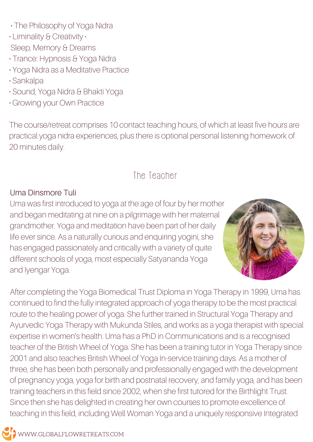- The Philosophy of Yoga Nidra
- Liminality & Creativity Sleep, Memory & Dreams
- Trance: Hypnosis & Yoga Nidra
- Yoga Nidra as a Meditative Practice
- Sankalpa
- Sound, Yoga Nidra & Bhakti Yoga
- Growing your Own Practice

The course/retreat comprises 10 contact teaching hours, of which at least five hours are practical yoga nidra experiences, plus there is optional personal listening homework of 20 minutes daily.

### The Teacher

#### Uma Dinsmore Tuli

Uma was first introduced to yoga at the age of four by her mother and began meditating at nine on a pilgrimage with her maternal grandmother. Yoga and meditation have been part of her daily life ever since. As a naturally curious and enquiring yogini, she has engaged passionately and critically with a variety of quite different schools of yoga, most especially Satyananda Yoga and Iyengar Yoga.



After completing the Yoga Biomedical Trust Diploma in Yoga Therapy in 1999, Uma has continued to find the fully integrated approach of yoga therapy to be the most practical route to the healing power of yoga. She further trained in Structural Yoga Therapy and Ayurvedic Yoga Therapy with Mukunda Stiles, and works as a yoga therapist with special expertise in women's health. Uma has a PhD in Communications and is a recognised teacher of the British Wheel of Yoga. She has been a training tutor in Yoga Therapy since 2001 and also teaches British Wheel of Yoga In-service training days. As a mother of three, she has been both personally and professionally engaged with the development of pregnancy yoga, yoga for birth and postnatal recovery, and family yoga, and has been training teachers in this field since 2002, when she first tutored for the Birthlight Trust. Since then she has delighted in creating her own courses to promote excellence of teaching in this field, including Well Woman Yoga and a uniquely responsive Integrated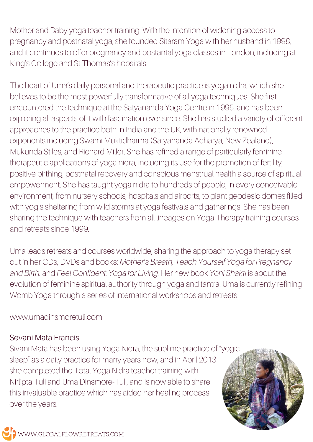Mother and Baby yoga teacher training. With the intention of widening access to pregnancy and postnatal yoga, she founded Sitaram Yoga with her husband in 1998, and it continues to offer pregnancy and postantal yoga classes in London, including at King's College and St Thomas's hopsitals.

The heart of Uma's daily personal and therapeutic practice is yoga nidra, which she believes to be the most powerfully transformative of all yoga techniques. She first encountered the technique at the Satyananda Yoga Centre in 1995, and has been exploring all aspects of it with fascination ever since. She has studied a variety of different approaches to the practice both in India and the UK, with nationally renowned exponents including Swami Muktidharma (Satyananda Acharya, New Zealand), Mukunda Stiles, and Richard Miller. She has refined a range of particularly feminine therapeutic applications of yoga nidra, including its use for the promotion of fertility, positive birthing, postnatal recovery and conscious menstrual health a source of spiritual empowerment. She has taught yoga nidra to hundreds of people, in every conceivable environment, from nursery schools, hospitals and airports, to giant geodesic domes filled with yogis sheltering from wild storms at yoga festivals and gatherings. She has been sharing the technique with teachers from all lineages on Yoga Therapy training courses and retreats since 1999.

Uma leads retreats and courses worldwide, sharing the approach to yoga therapy set out in her CDs, DVDs and books: Mother's Breath, Teach Yourself Yoga for Pregnancy and Birth, and Feel Confident: Yoga for Living. Her new book Yoni Shakti is about the evolution of feminine spiritual authority through yoga and tantra. Uma is currently refining Womb Yoga through a series of international workshops and retreats.

www.umadinsmoretuli.com

#### Sevani Mata Francis

Sivani Mata has been using Yoga Nidra, the sublime practice of "yogic sleep" as a daily practice for many years now, and in April 2013 she completed the Total Yoga Nidra teacher training with Nirlipta Tuli and Uma Dinsmore-Tuli, and is now able to share this invaluable practice which has aided her healing process over the years.

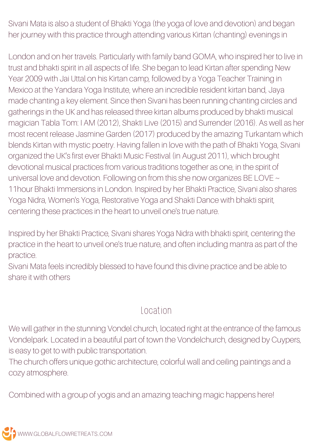Sivani Mata is also a student of Bhakti Yoga (the yoga of love and devotion) and began her journey with this practice through attending various Kirtan (chanting) evenings in

London and on her travels. Particularly with family band GOMA, who inspired her to live in trust and bhakti spirit in all aspects of life. She began to lead Kirtan after spending New Year 2009 with Jai Uttal on his Kirtan camp, followed by a Yoga Teacher Training in Mexico at the Yandara Yoga Institute, where an incredible resident kirtan band, Jaya made chanting a key element. Since then Sivani has been running chanting circles and gatherings in the UK and has released three kirtan albums produced by bhakti musical magician Tabla Tom: I AM (2012), Shakti Live (2015) and Surrender (2016). As well as her most recent release Jasmine Garden (2017) produced by the amazing Turkantam which blends Kirtan with mystic poetry. Having fallen in love with the path of Bhakti Yoga, Sivani organized the UK's first ever Bhakti Music Festival (in August 2011), which brought devotional musical practices from various traditions together as one, in the spirit of universal love and devotion. Following on from this she now organizes BE LOVE ~ 11hour Bhakti Immersions in London. Inspired by her Bhakti Practice, Sivani also shares Yoga Nidra, Women's Yoga, Restorative Yoga and Shakti Dance with bhakti spirit, centering these practices in the heart to unveil one's true nature.

Inspired by her Bhakti Practice, Sivani shares Yoga Nidra with bhakti spirit, centering the practice in the heart to unveil one's true nature, and often including mantra as part of the practice.

Sivani Mata feels incredibly blessed to have found this divine practice and be able to share it with others

#### Location

We will gather in the stunning Vondel church, located right at the entrance of the famous Vondelpark. Located in a beautiful part of town the Vondelchurch, designed by Cuypers, is easy to get to with public transportation.

The church offers unique gothic architecture, colorful wall and ceiling paintings and a cozy atmosphere.

Combined with a group of yogis and an amazing teaching magic happens here!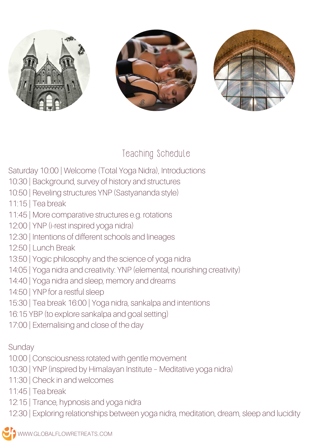

## Teaching Schedule

Saturday 10:00 | Welcome (Total Yoga Nidra), Introductions

- 10:30 | Background, survey of history and structures
- 10:50 | Reveling structures YNP (Sastyananda style)
- 11:15 | Tea break
- 11:45 | More comparative structures e.g. rotations
- 12:00 | YNP (i-rest inspired yoga nidra)
- 12:30 | Intentions of different schools and lineages
- 12:50 | Lunch Break
- 13:50 | Yogic philosophy and the science of yoga nidra
- 14:05 | Yoga nidra and creativity: YNP (elemental, nourishing creativity)
- 14:40 | Yoga nidra and sleep, memory and dreams
- 14:50 | YNP for a restful sleep
- 15:30 | Tea break 16:00 | Yoga nidra, sankalpa and intentions
- 16:15 YBP (to explore sankalpa and goal setting)
- 17:00 | Externalising and close of the day

#### Sunday

- 10:00 | Consciousness rotated with gentle movement
- 10:30 | YNP (inspired by Himalayan Institute Meditative yoga nidra)
- 11:30 | Check in and welcomes
- 11:45 | Tea break
- 12:15 | Trance, hypnosis and yoga nidra
- 12:30 | Exploring relationships between yoga nidra, meditation, dream, sleep and lucidity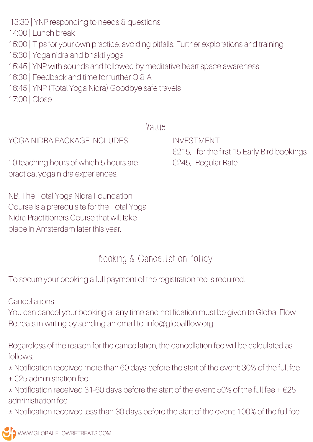14:00 | Lunch break

- 15:00 | Tips for your own practice, avoiding pitfalls. Further explorations and training
- 15:30 | Yoga nidra and bhakti yoga
- 15:45 | YNP with sounds and followed by meditative heart space awareness
- 16:30 | Feedback and time for further Q & A
- 16:45 | YNP (Total Yoga Nidra) Goodbye safe travels
- 17:00 | Close

#### Value

#### YOGA NIDRA PACKAGE INCLUDES

10 teaching hours of which 5 hours are practical yoga nidra experiences.

NB: The Total Yoga Nidra Foundation Course is a prerequisite for the Total Yoga Nidra Practitioners Course that will take place in Amsterdam later this year.

INVESTMENT €215,- for the first 15 Early Bird bookings €245,- Regular Rate

## Booking & Cancellation Policy

To secure your booking a full payment of the registration fee is required.

Cancellations:

You can cancel your booking at any time and notification must be given to Global Flow Retreats in writing by sending an email to: info@globalflow.org

Regardless of the reason for the cancellation, the cancellation fee will be calculated as follows:

- \* Notification received more than 60 days before the start of the event: 30% of the full fee
- + €25 administration fee
- $*$  Notification received 31-60 days before the start of the event: 50% of the full fee +  $\epsilon$ 25 administration fee
- \* Notification received less than 30 days before the start of the event: 100% of the full fee.